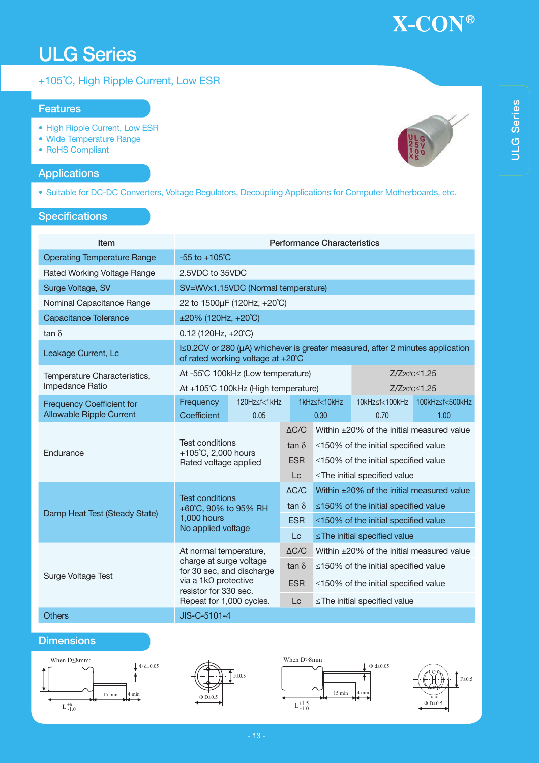# ULG Series

### +105˚C, High Ripple Current, Low ESR

#### Features

- High Ripple Current, Low ESR
- Wide Temperature Range
- RoHS Compliant

### **Applications**

• Suitable for DC-DC Converters, Voltage Regulators, Decoupling Applications for Computer Motherboards, etc.

### **Specifications**

| Item                               | <b>Performance Characteristics</b>                                                                                  |                 |                              |                                                                                        |                                            |                                |  |  |
|------------------------------------|---------------------------------------------------------------------------------------------------------------------|-----------------|------------------------------|----------------------------------------------------------------------------------------|--------------------------------------------|--------------------------------|--|--|
| <b>Operating Temperature Range</b> | $-55$ to $+105^{\circ}$ C                                                                                           |                 |                              |                                                                                        |                                            |                                |  |  |
| Rated Working Voltage Range        | 2.5VDC to 35VDC                                                                                                     |                 |                              |                                                                                        |                                            |                                |  |  |
| Surge Voltage, SV                  | SV=WVx1.15VDC (Normal temperature)                                                                                  |                 |                              |                                                                                        |                                            |                                |  |  |
| Nominal Capacitance Range          | 22 to 1500µF (120Hz, +20°C)                                                                                         |                 |                              |                                                                                        |                                            |                                |  |  |
| <b>Capacitance Tolerance</b>       | $\pm 20\%$ (120Hz, +20°C)                                                                                           |                 |                              |                                                                                        |                                            |                                |  |  |
| tan $\delta$                       | $0.12$ (120Hz, +20°C)                                                                                               |                 |                              |                                                                                        |                                            |                                |  |  |
| Leakage Current, Lc                | I≤0.2CV or 280 (µA) whichever is greater measured, after 2 minutes application<br>of rated working voltage at +20°C |                 |                              |                                                                                        |                                            |                                |  |  |
| Temperature Characteristics,       | 7/720°C<1.25<br>At -55°C 100kHz (Low temperature)                                                                   |                 |                              |                                                                                        |                                            |                                |  |  |
| Impedance Ratio                    | At +105°C 100kHz (High temperature)<br>Z/Z <sub>20°C</sub> <1.25                                                    |                 |                              |                                                                                        |                                            |                                |  |  |
| <b>Frequency Coefficient for</b>   | Frequency                                                                                                           | 120Hz sf < 1kHz |                              | 1kHz <f<10khz< td=""><td></td><td>10kHz≤f&lt;100kHz 100kHz≤f&lt;500kHz</td></f<10khz<> |                                            | 10kHz≤f<100kHz 100kHz≤f<500kHz |  |  |
| <b>Allowable Ripple Current</b>    | Coefficient                                                                                                         | 0.05            |                              | 0.30                                                                                   | 0.70                                       | 1.00                           |  |  |
|                                    | <b>Test conditions</b><br>+105°C, 2,000 hours<br>Rated voltage applied                                              |                 | $\triangle C/C$              | Within ±20% of the initial measured value                                              |                                            |                                |  |  |
| Endurance                          |                                                                                                                     |                 | tan $\delta$                 | $\leq$ 150% of the initial specified value                                             |                                            |                                |  |  |
|                                    |                                                                                                                     |                 | <b>ESR</b>                   | ≤150% of the initial specified value                                                   |                                            |                                |  |  |
|                                    |                                                                                                                     |                 | Lc                           | ≤The initial specified value                                                           |                                            |                                |  |  |
|                                    | <b>Test conditions</b><br>+60°C, 90% to 95% RH<br>1,000 hours<br>No applied voltage                                 |                 | $\Delta C/C$                 | Within ±20% of the initial measured value                                              |                                            |                                |  |  |
| Damp Heat Test (Steady State)      |                                                                                                                     |                 | tan $\delta$                 | $\leq$ 150% of the initial specified value                                             |                                            |                                |  |  |
|                                    |                                                                                                                     |                 | <b>ESR</b>                   | $\leq$ 150% of the initial specified value                                             |                                            |                                |  |  |
|                                    |                                                                                                                     |                 | $_{\rm Lc}$                  | ≤The initial specified value                                                           |                                            |                                |  |  |
|                                    | At normal temperature,                                                                                              |                 | $\Delta C/C$                 | Within ±20% of the initial measured value                                              |                                            |                                |  |  |
| Surge Voltage Test                 | charge at surge voltage<br>for 30 sec, and discharge                                                                |                 | tan $\delta$                 | $\leq$ 150% of the initial specified value                                             |                                            |                                |  |  |
|                                    | via a $1k\Omega$ protective<br>resistor for 330 sec.                                                                |                 | <b>ESR</b>                   |                                                                                        | $\leq$ 150% of the initial specified value |                                |  |  |
|                                    | Repeat for 1,000 cycles.                                                                                            | Lc              | ≤The initial specified value |                                                                                        |                                            |                                |  |  |
| <b>Others</b>                      | JIS-C-5101-4                                                                                                        |                 |                              |                                                                                        |                                            |                                |  |  |

### **Dimensions**